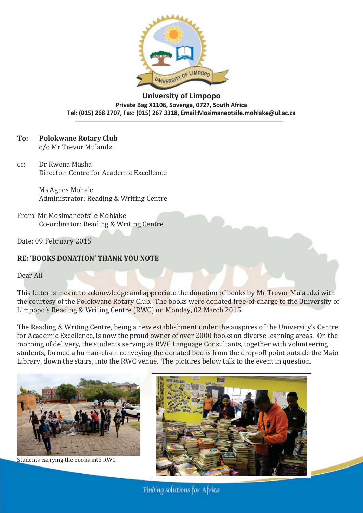

**University of Limpopo Private Bag X1106, Sovenga, 0727, South Africa Tel: (015) 268 2707, Fax: (015) 267 3318, Email:Mosimaneotsile.mohlake@ul.ac.za** 

## **To: Polokwane Rotary Club**

c/o Mr Trevor Mulaudzi

cc: Dr Kwena Masha Director: Centre for Academic Excellence

> Ms Agnes Mohale Administrator: Reading & Writing Centre

From: Mr Mosimaneotsile Mohlake Co-ordinator: Reading & Writing Centre

Date: 09 February 2015

## **RE: 'BOOKS DONATION' THANK YOU NOTE**

Dear All

This letter is meant to acknowledge and appreciate the donation of books by Mr Trevor Mulaudzi with the courtesy of the Polokwane Rotary Club. The books were donated free-of-charge to the University of Limpopo's Reading & Writing Centre (RWC) on Monday, 02 March 2015.

The Reading & Writing Centre, being a new establishment under the auspices of the University's Centre for Academic Excellence, is now the proud owner of over 2000 books on diverse learning areas. On the morning of delivery, the students serving as RWC Language Consultants, together with volunteering students, formed a human-chain conveying the donated books from the drop-off point outside the Main Library, down the stairs, into the RWC venue. The pictures below talk to the event in question.



Students carrying the books into RWC



Finding solutions for Africa